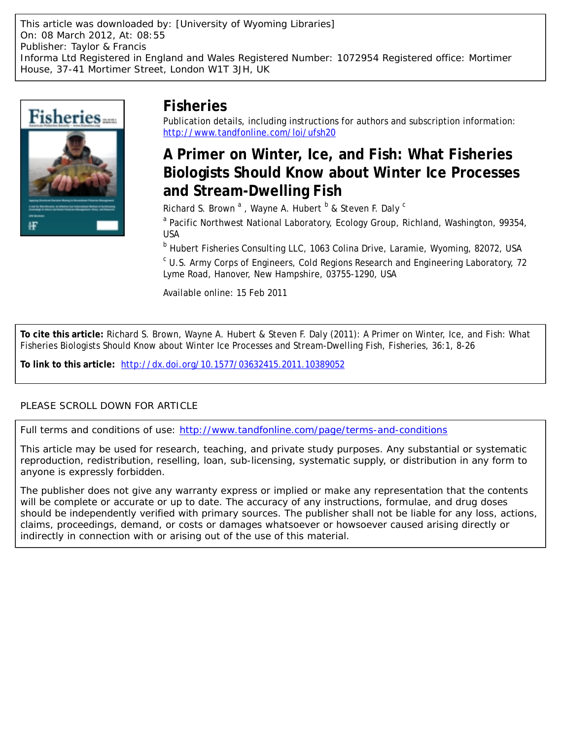This article was downloaded by: [University of Wyoming Libraries] On: 08 March 2012, At: 08:55 Publisher: Taylor & Francis Informa Ltd Registered in England and Wales Registered Number: 1072954 Registered office: Mortimer House, 37-41 Mortimer Street, London W1T 3JH, UK



#### **Fisheries**

Publication details, including instructions for authors and subscription information: <http://www.tandfonline.com/loi/ufsh20>

# **A Primer on Winter, Ice, and Fish: What Fisheries Biologists Should Know about Winter Ice Processes and Stream-Dwelling Fish**

Richard S. Brown <sup>a</sup>, Wayne A. Hubert  $^{\text{b}}$  & Steven F. Daly <sup>c</sup>

<sup>a</sup> Pacific Northwest National Laboratory, Ecology Group, Richland, Washington, 99354, USA

<sup>b</sup> Hubert Fisheries Consulting LLC, 1063 Colina Drive, Laramie, Wyoming, 82072, USA

<sup>c</sup> U.S. Army Corps of Engineers, Cold Regions Research and Engineering Laboratory, 72 Lyme Road, Hanover, New Hampshire, 03755-1290, USA

Available online: 15 Feb 2011

**To cite this article:** Richard S. Brown, Wayne A. Hubert & Steven F. Daly (2011): A Primer on Winter, Ice, and Fish: What Fisheries Biologists Should Know about Winter Ice Processes and Stream-Dwelling Fish, Fisheries, 36:1, 8-26

**To link to this article:** <http://dx.doi.org/10.1577/03632415.2011.10389052>

#### PLEASE SCROLL DOWN FOR ARTICLE

Full terms and conditions of use:<http://www.tandfonline.com/page/terms-and-conditions>

This article may be used for research, teaching, and private study purposes. Any substantial or systematic reproduction, redistribution, reselling, loan, sub-licensing, systematic supply, or distribution in any form to anyone is expressly forbidden.

The publisher does not give any warranty express or implied or make any representation that the contents will be complete or accurate or up to date. The accuracy of any instructions, formulae, and drug doses should be independently verified with primary sources. The publisher shall not be liable for any loss, actions, claims, proceedings, demand, or costs or damages whatsoever or howsoever caused arising directly or indirectly in connection with or arising out of the use of this material.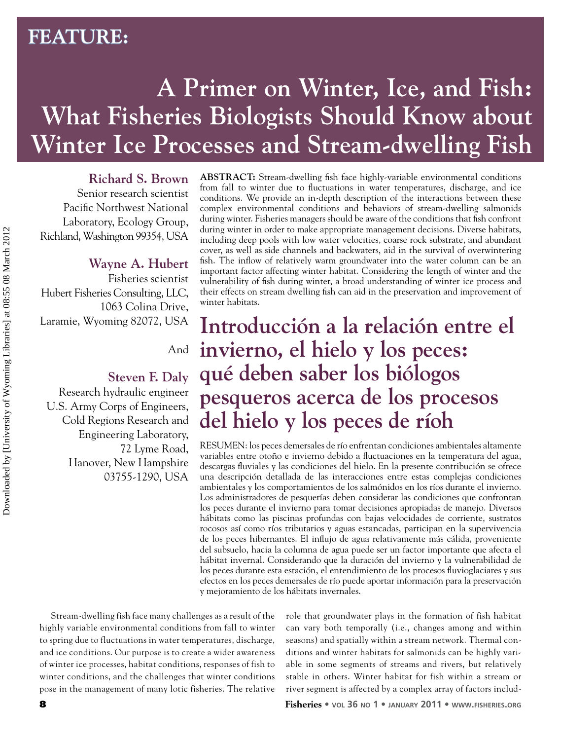# **FEATURE:**

# **A Primer on Winter, Ice, and Fish: What Fisheries Biologists Should Know about Winter Ice Processes and Stream-dwelling Fish**

**Richard S. Brown** Senior research scientist Pacific Northwest National Laboratory, Ecology Group, Richland, Washington 99354, USA

**Wayne A. Hubert** Fisheries scientist Hubert Fisheries Consulting, LLC, 1063 Colina Drive, Laramie, Wyoming 82072, USA

#### And

**Steven F. Daly**

Research hydraulic engineer U.S. Army Corps of Engineers, Cold Regions Research and Engineering Laboratory, 72 Lyme Road, Hanover, New Hampshire 03755-1290, USA **ABSTRACT:** Stream-dwelling fish face highly-variable environmental conditions from fall to winter due to fluctuations in water temperatures, discharge, and ice conditions. We provide an in-depth description of the interactions between these complex environmental conditions and behaviors of stream-dwelling salmonids during winter. Fisheries managers should be aware of the conditions that fish confront during winter in order to make appropriate management decisions. Diverse habitats, including deep pools with low water velocities, coarse rock substrate, and abundant cover, as well as side channels and backwaters, aid in the survival of overwintering fish. The inflow of relatively warm groundwater into the water column can be an important factor affecting winter habitat. Considering the length of winter and the vulnerability of fish during winter, a broad understanding of winter ice process and their effects on stream dwelling fish can aid in the preservation and improvement of winter habitats.

# **Introducción a la relación entre el invierno, el hielo y los peces: qué deben saber los biólogos pesqueros acerca de los procesos del hielo y los peces de ríoh**

RESUMEN: los peces demersales de río enfrentan condiciones ambientales altamente variables entre otoño e invierno debido a fluctuaciones en la temperatura del agua, descargas fluviales y las condiciones del hielo. En la presente contribución se ofrece una descripción detallada de las interacciones entre estas complejas condiciones ambientales y los comportamientos de los salmónidos en los ríos durante el invierno. Los administradores de pesquerías deben considerar las condiciones que confrontan los peces durante el invierno para tomar decisiones apropiadas de manejo. Diversos hábitats como las piscinas profundas con bajas velocidades de corriente, sustratos rocosos así como ríos tributarios y aguas estancadas, participan en la supervivencia de los peces hibernantes. El influjo de agua relativamente más cálida, proveniente del subsuelo, hacia la columna de agua puede ser un factor importante que afecta el hábitat invernal. Considerando que la duración del invierno y la vulnerabilidad de los peces durante esta estación, el entendimiento de los procesos fluvioglaciares y sus efectos en los peces demersales de río puede aportar información para la preservación y mejoramiento de los hábitats invernales.

Stream-dwelling fish face many challenges as a result of the highly variable environmental conditions from fall to winter to spring due to fluctuations in water temperatures, discharge, and ice conditions. Our purpose is to create a wider awareness of winter ice processes, habitat conditions, responses of fish to winter conditions, and the challenges that winter conditions pose in the management of many lotic fisheries. The relative role that groundwater plays in the formation of fish habitat can vary both temporally (i.e., changes among and within seasons) and spatially within a stream network. Thermal conditions and winter habitats for salmonids can be highly variable in some segments of streams and rivers, but relatively stable in others. Winter habitat for fish within a stream or river segment is affected by a complex array of factors includ-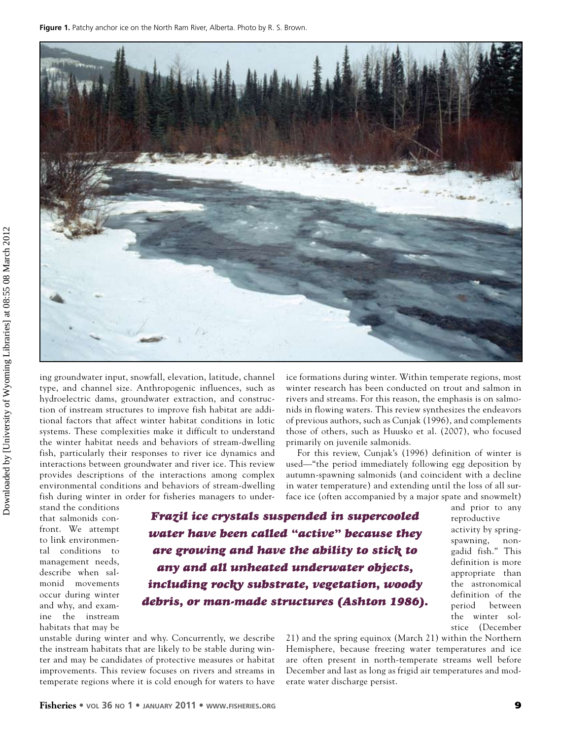

ing groundwater input, snowfall, elevation, latitude, channel type, and channel size. Anthropogenic influences, such as hydroelectric dams, groundwater extraction, and construction of instream structures to improve fish habitat are additional factors that affect winter habitat conditions in lotic systems. These complexities make it difficult to understand the winter habitat needs and behaviors of stream-dwelling fish, particularly their responses to river ice dynamics and interactions between groundwater and river ice. This review provides descriptions of the interactions among complex environmental conditions and behaviors of stream-dwelling fish during winter in order for fisheries managers to under-

stand the conditions that salmonids confront. We attempt to link environmental conditions to management needs, describe when salmonid movements occur during winter and why, and examine the instream habitats that may be

*Frazil ice crystals suspended in supercooled water have been called "active" because they are growing and have the ability to stick to any and all unheated underwater objects, including rocky substrate, vegetation, woody debris, or man-made structures (Ashton 1986).* 

unstable during winter and why. Concurrently, we describe the instream habitats that are likely to be stable during winter and may be candidates of protective measures or habitat improvements. This review focuses on rivers and streams in temperate regions where it is cold enough for waters to have ice formations during winter. Within temperate regions, most winter research has been conducted on trout and salmon in rivers and streams. For this reason, the emphasis is on salmonids in flowing waters. This review synthesizes the endeavors of previous authors, such as Cunjak (1996), and complements those of others, such as Huusko et al. (2007), who focused primarily on juvenile salmonids.

For this review, Cunjak's (1996) definition of winter is used—"the period immediately following egg deposition by autumn-spawning salmonids (and coincident with a decline in water temperature) and extending until the loss of all surface ice (often accompanied by a major spate and snowmelt)

> and prior to any reproductive activity by springspawning, nongadid fish." This definition is more appropriate than the astronomical definition of the period between the winter solstice (December

21) and the spring equinox (March 21) within the Northern Hemisphere, because freezing water temperatures and ice are often present in north-temperate streams well before December and last as long as frigid air temperatures and moderate water discharge persist.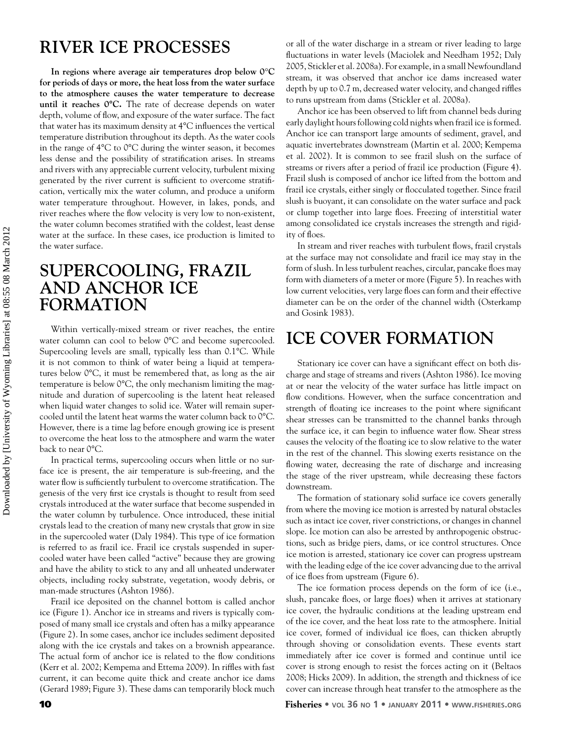# **River Ice Processes**

**In regions where average air temperatures drop below 0**°**C for periods of days or more, the heat loss from the water surface to the atmosphere causes the water temperature to decrease until it reaches 0°C.** The rate of decrease depends on water depth, volume of flow, and exposure of the water surface. The fact that water has its maximum density at 4°C influences the vertical temperature distribution throughout its depth. As the water cools in the range of 4°C to 0°C during the winter season, it becomes less dense and the possibility of stratification arises. In streams and rivers with any appreciable current velocity, turbulent mixing generated by the river current is sufficient to overcome stratification, vertically mix the water column, and produce a uniform water temperature throughout. However, in lakes, ponds, and river reaches where the flow velocity is very low to non-existent, the water column becomes stratified with the coldest, least dense water at the surface. In these cases, ice production is limited to the water surface.

### **Supercooling, frazil and anchor ice formation**

Within vertically-mixed stream or river reaches, the entire water column can cool to below 0°C and become supercooled. Supercooling levels are small, typically less than 0.1°C. While it is not common to think of water being a liquid at temperatures below 0°C, it must be remembered that, as long as the air temperature is below 0°C, the only mechanism limiting the magnitude and duration of supercooling is the latent heat released when liquid water changes to solid ice. Water will remain supercooled until the latent heat warms the water column back to 0°C. However, there is a time lag before enough growing ice is present to overcome the heat loss to the atmosphere and warm the water back to near 0°C.

In practical terms, supercooling occurs when little or no surface ice is present, the air temperature is sub-freezing, and the water flow is sufficiently turbulent to overcome stratification. The genesis of the very first ice crystals is thought to result from seed crystals introduced at the water surface that become suspended in the water column by turbulence. Once introduced, these initial crystals lead to the creation of many new crystals that grow in size in the supercooled water (Daly 1984). This type of ice formation is referred to as frazil ice. Frazil ice crystals suspended in supercooled water have been called "active" because they are growing and have the ability to stick to any and all unheated underwater objects, including rocky substrate, vegetation, woody debris, or man-made structures (Ashton 1986).

Frazil ice deposited on the channel bottom is called anchor ice (Figure 1). Anchor ice in streams and rivers is typically composed of many small ice crystals and often has a milky appearance (Figure 2). In some cases, anchor ice includes sediment deposited along with the ice crystals and takes on a brownish appearance. The actual form of anchor ice is related to the flow conditions (Kerr et al. 2002; Kempema and Ettema 2009). In riffles with fast current, it can become quite thick and create anchor ice dams (Gerard 1989; Figure 3). These dams can temporarily block much or all of the water discharge in a stream or river leading to large fluctuations in water levels (Maciolek and Needham 1952; Daly 2005, Stickler et al. 2008a). For example, in a small Newfoundland stream, it was observed that anchor ice dams increased water depth by up to 0.7 m, decreased water velocity, and changed riffles to runs upstream from dams (Stickler et al. 2008a).

Anchor ice has been observed to lift from channel beds during early daylight hours following cold nights when frazil ice is formed. Anchor ice can transport large amounts of sediment, gravel, and aquatic invertebrates downstream (Martin et al. 2000; Kempema et al. 2002). It is common to see frazil slush on the surface of streams or rivers after a period of frazil ice production (Figure 4). Frazil slush is composed of anchor ice lifted from the bottom and frazil ice crystals, either singly or flocculated together. Since frazil slush is buoyant, it can consolidate on the water surface and pack or clump together into large floes. Freezing of interstitial water among consolidated ice crystals increases the strength and rigidity of floes.

In stream and river reaches with turbulent flows, frazil crystals at the surface may not consolidate and frazil ice may stay in the form of slush. In less turbulent reaches, circular, pancake floes may form with diameters of a meter or more (Figure 5). In reaches with low current velocities, very large floes can form and their effective diameter can be on the order of the channel width (Osterkamp and Gosink 1983).

# **Ice cover formation**

Stationary ice cover can have a significant effect on both discharge and stage of streams and rivers (Ashton 1986). Ice moving at or near the velocity of the water surface has little impact on flow conditions. However, when the surface concentration and strength of floating ice increases to the point where significant shear stresses can be transmitted to the channel banks through the surface ice, it can begin to influence water flow. Shear stress causes the velocity of the floating ice to slow relative to the water in the rest of the channel. This slowing exerts resistance on the flowing water, decreasing the rate of discharge and increasing the stage of the river upstream, while decreasing these factors downstream.

The formation of stationary solid surface ice covers generally from where the moving ice motion is arrested by natural obstacles such as intact ice cover, river constrictions, or changes in channel slope. Ice motion can also be arrested by anthropogenic obstructions, such as bridge piers, dams, or ice control structures. Once ice motion is arrested, stationary ice cover can progress upstream with the leading edge of the ice cover advancing due to the arrival of ice floes from upstream (Figure 6).

The ice formation process depends on the form of ice (i.e., slush, pancake floes, or large floes) when it arrives at stationary ice cover, the hydraulic conditions at the leading upstream end of the ice cover, and the heat loss rate to the atmosphere. Initial ice cover, formed of individual ice floes, can thicken abruptly through shoving or consolidation events. These events start immediately after ice cover is formed and continue until ice cover is strong enough to resist the forces acting on it (Beltaos 2008; Hicks 2009). In addition, the strength and thickness of ice cover can increase through heat transfer to the atmosphere as the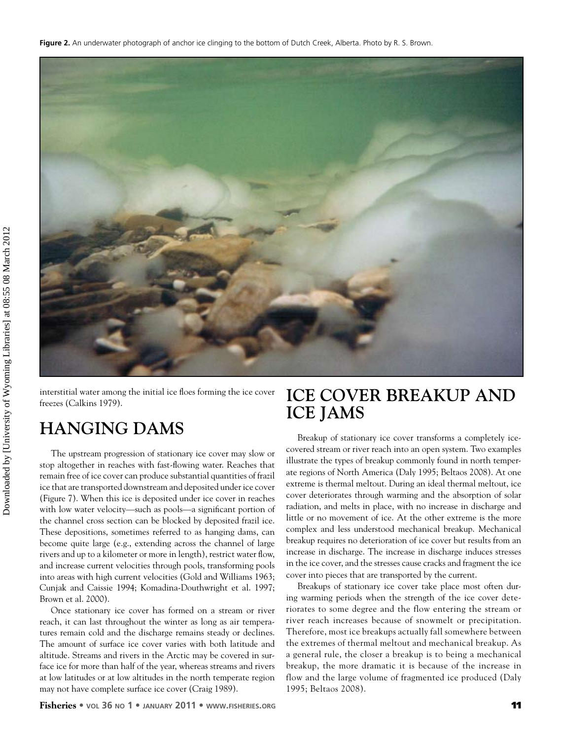Figure 2. An underwater photograph of anchor ice clinging to the bottom of Dutch Creek, Alberta. Photo by R. S. Brown.



interstitial water among the initial ice floes forming the ice cover freezes (Calkins 1979).

# **Hanging dams**

The upstream progression of stationary ice cover may slow or stop altogether in reaches with fast-flowing water. Reaches that remain free of ice cover can produce substantial quantities of frazil ice that are transported downstream and deposited under ice cover (Figure 7). When this ice is deposited under ice cover in reaches with low water velocity—such as pools—a significant portion of the channel cross section can be blocked by deposited frazil ice. These depositions, sometimes referred to as hanging dams, can become quite large (e.g., extending across the channel of large rivers and up to a kilometer or more in length), restrict water flow, and increase current velocities through pools, transforming pools into areas with high current velocities (Gold and Williams 1963; Cunjak and Caissie 1994; Komadina-Douthwright et al. 1997; Brown et al. 2000).

Once stationary ice cover has formed on a stream or river reach, it can last throughout the winter as long as air temperatures remain cold and the discharge remains steady or declines. The amount of surface ice cover varies with both latitude and altitude. Streams and rivers in the Arctic may be covered in surface ice for more than half of the year, whereas streams and rivers at low latitudes or at low altitudes in the north temperate region may not have complete surface ice cover (Craig 1989).

# **Ice cover breakup and ice jams**

Breakup of stationary ice cover transforms a completely icecovered stream or river reach into an open system. Two examples illustrate the types of breakup commonly found in north temperate regions of North America (Daly 1995; Beltaos 2008). At one extreme is thermal meltout. During an ideal thermal meltout, ice cover deteriorates through warming and the absorption of solar radiation, and melts in place, with no increase in discharge and little or no movement of ice. At the other extreme is the more complex and less understood mechanical breakup. Mechanical breakup requires no deterioration of ice cover but results from an increase in discharge. The increase in discharge induces stresses in the ice cover, and the stresses cause cracks and fragment the ice cover into pieces that are transported by the current.

Breakups of stationary ice cover take place most often during warming periods when the strength of the ice cover deteriorates to some degree and the flow entering the stream or river reach increases because of snowmelt or precipitation. Therefore, most ice breakups actually fall somewhere between the extremes of thermal meltout and mechanical breakup. As a general rule, the closer a breakup is to being a mechanical breakup, the more dramatic it is because of the increase in flow and the large volume of fragmented ice produced (Daly 1995; Beltaos 2008).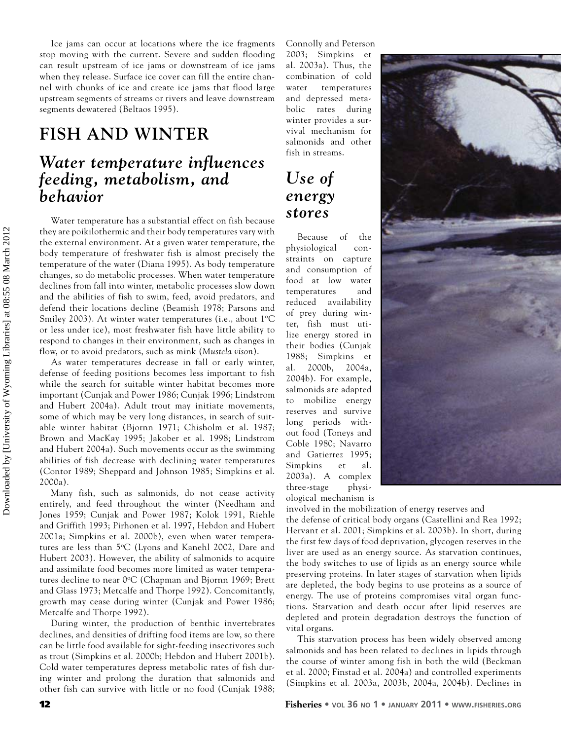Ice jams can occur at locations where the ice fragments stop moving with the current. Severe and sudden flooding can result upstream of ice jams or downstream of ice jams when they release. Surface ice cover can fill the entire channel with chunks of ice and create ice jams that flood large upstream segments of streams or rivers and leave downstream segments dewatered (Beltaos 1995).

# **Fish and Winter**

### *Water temperature influences feeding, metabolism, and behavior*

Water temperature has a substantial effect on fish because they are poikilothermic and their body temperatures vary with the external environment. At a given water temperature, the body temperature of freshwater fish is almost precisely the temperature of the water (Diana 1995). As body temperature changes, so do metabolic processes. When water temperature declines from fall into winter, metabolic processes slow down and the abilities of fish to swim, feed, avoid predators, and defend their locations decline (Beamish 1978; Parsons and Smiley 2003). At winter water temperatures (i.e., about  $1^{\circ}$ C or less under ice), most freshwater fish have little ability to respond to changes in their environment, such as changes in flow, or to avoid predators, such as mink (*Mustela vison*).

As water temperatures decrease in fall or early winter, defense of feeding positions becomes less important to fish while the search for suitable winter habitat becomes more important (Cunjak and Power 1986; Cunjak 1996; Lindstrom and Hubert 2004a). Adult trout may initiate movements, some of which may be very long distances, in search of suitable winter habitat (Bjornn 1971; Chisholm et al. 1987; Brown and MacKay 1995; Jakober et al. 1998; Lindstrom and Hubert 2004a). Such movements occur as the swimming abilities of fish decrease with declining water temperatures (Contor 1989; Sheppard and Johnson 1985; Simpkins et al. 2000a).

Many fish, such as salmonids, do not cease activity entirely, and feed throughout the winter (Needham and Jones 1959; Cunjak and Power 1987; Kolok 1991, Riehle and Griffith 1993; Pirhonen et al. 1997, Hebdon and Hubert 2001a; Simpkins et al. 2000b), even when water temperatures are less than 5°C (Lyons and Kanehl 2002, Dare and Hubert 2003). However, the ability of salmonids to acquire and assimilate food becomes more limited as water temperatures decline to near 0°C (Chapman and Bjornn 1969; Brett and Glass 1973; Metcalfe and Thorpe 1992). Concomitantly, growth may cease during winter (Cunjak and Power 1986; Metcalfe and Thorpe 1992).

During winter, the production of benthic invertebrates declines, and densities of drifting food items are low, so there can be little food available for sight-feeding insectivores such as trout (Simpkins et al. 2000b; Hebdon and Hubert 2001b). Cold water temperatures depress metabolic rates of fish during winter and prolong the duration that salmonids and other fish can survive with little or no food (Cunjak 1988;

Connolly and Peterson 2003; Simpkins et al. 2003a). Thus, the combination of cold water temperatures and depressed metabolic rates during winter provides a survival mechanism for salmonids and other fish in streams.

# *Use of energy stores*

Because of the physiological constraints on capture and consumption of food at low water temperatures and reduced availability of prey during winter, fish must utilize energy stored in their bodies (Cunjak 1988; Simpkins et al. 2000b, 2004a, 2004b). For example, salmonids are adapted to mobilize energy reserves and survive long periods without food (Toneys and Coble 1980; Navarro and Gatierrez 1995; Simpkins et al. 2003a). A complex three-stage physiological mechanism is



involved in the mobilization of energy reserves and the defense of critical body organs (Castellini and Rea 1992; Hervant et al. 2001; Simpkins et al. 2003b). In short, during the first few days of food deprivation, glycogen reserves in the liver are used as an energy source. As starvation continues, the body switches to use of lipids as an energy source while preserving proteins. In later stages of starvation when lipids are depleted, the body begins to use proteins as a source of energy. The use of proteins compromises vital organ functions. Starvation and death occur after lipid reserves are depleted and protein degradation destroys the function of vital organs.

This starvation process has been widely observed among salmonids and has been related to declines in lipids through the course of winter among fish in both the wild (Beckman et al. 2000; Finstad et al. 2004a) and controlled experiments (Simpkins et al. 2003a, 2003b, 2004a, 2004b). Declines in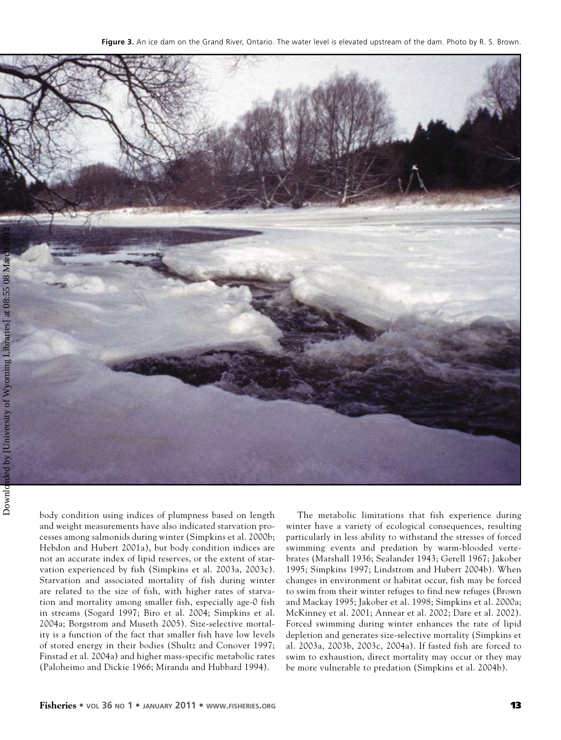

body condition using indices of plumpness based on length and weight measurements have also indicated starvation processes among salmonids during winter (Simpkins et al. 2000b; Hebdon and Hubert 2001a), but body condition indices are not an accurate index of lipid reserves, or the extent of starvation experienced by fish (Simpkins et al. 2003a, 2003c). Starvation and associated mortality of fish during winter are related to the size of fish, with higher rates of starvation and mortality among smaller fish, especially age-0 fish in streams (Sogard 1997; Biro et al. 2004; Simpkins et al. 2004a; Borgstrom and Museth 2005). Size-selective mortality is a function of the fact that smaller fish have low levels of stored energy in their bodies (Shultz and Conover 1997; Finstad et al. 2004a) and higher mass-specific metabolic rates (Paloheimo and Dickie 1966; Miranda and Hubbard 1994).

The metabolic limitations that fish experience during winter have a variety of ecological consequences, resulting particularly in less ability to withstand the stresses of forced swimming events and predation by warm-blooded vertebrates (Marshall 1936; Sealander 1943; Gerell 1967; Jakober 1995; Simpkins 1997; Lindstrom and Hubert 2004b). When changes in environment or habitat occur, fish may be forced to swim from their winter refuges to find new refuges (Brown and Mackay 1995; Jakober et al. 1998; Simpkins et al. 2000a; McKinney et al. 2001; Annear et al. 2002; Dare et al. 2002). Forced swimming during winter enhances the rate of lipid depletion and generates size-selective mortality (Simpkins et al. 2003a, 2003b, 2003c, 2004a). If fasted fish are forced to swim to exhaustion, direct mortality may occur or they may be more vulnerable to predation (Simpkins et al. 2004b).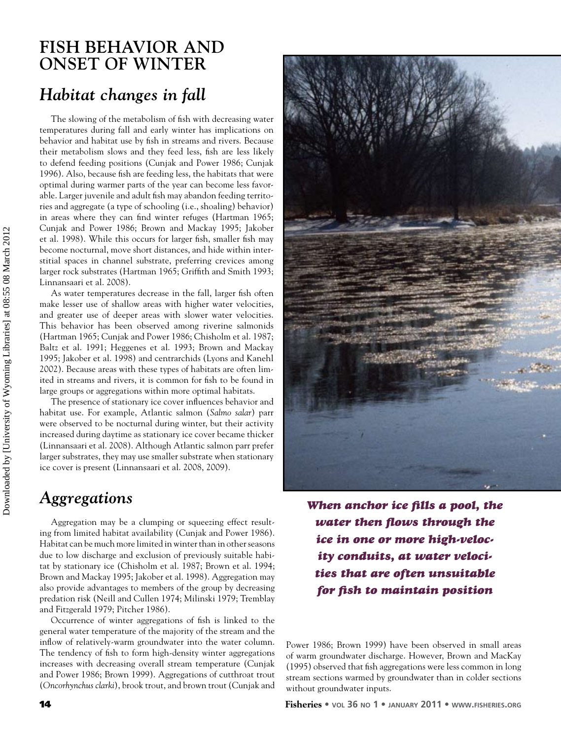# **Fish Behavior and Onset of Winter**

# *Habitat changes in fall*

The slowing of the metabolism of fish with decreasing water temperatures during fall and early winter has implications on behavior and habitat use by fish in streams and rivers. Because their metabolism slows and they feed less, fish are less likely to defend feeding positions (Cunjak and Power 1986; Cunjak 1996). Also, because fish are feeding less, the habitats that were optimal during warmer parts of the year can become less favorable. Larger juvenile and adult fish may abandon feeding territories and aggregate (a type of schooling (i.e., shoaling) behavior) in areas where they can find winter refuges (Hartman 1965; Cunjak and Power 1986; Brown and Mackay 1995; Jakober et al. 1998). While this occurs for larger fish, smaller fish may become nocturnal, move short distances, and hide within interstitial spaces in channel substrate, preferring crevices among larger rock substrates (Hartman 1965; Griffith and Smith 1993; Linnansaari et al. 2008).

As water temperatures decrease in the fall, larger fish often make lesser use of shallow areas with higher water velocities, and greater use of deeper areas with slower water velocities. This behavior has been observed among riverine salmonids (Hartman 1965; Cunjak and Power 1986; Chisholm et al. 1987; Baltz et al. 1991; Heggenes et al. 1993; Brown and Mackay 1995; Jakober et al. 1998) and centrarchids (Lyons and Kanehl 2002). Because areas with these types of habitats are often limited in streams and rivers, it is common for fish to be found in large groups or aggregations within more optimal habitats.

The presence of stationary ice cover influences behavior and habitat use. For example, Atlantic salmon (*Salmo salar*) parr were observed to be nocturnal during winter, but their activity increased during daytime as stationary ice cover became thicker (Linnansaari et al. 2008). Although Atlantic salmon parr prefer larger substrates, they may use smaller substrate when stationary ice cover is present (Linnansaari et al. 2008, 2009).

#### *Aggregations*

Aggregation may be a clumping or squeezing effect resulting from limited habitat availability (Cunjak and Power 1986). Habitat can be much more limited in winter than in other seasons due to low discharge and exclusion of previously suitable habitat by stationary ice (Chisholm et al. 1987; Brown et al. 1994; Brown and Mackay 1995; Jakober et al. 1998). Aggregation may also provide advantages to members of the group by decreasing predation risk (Neill and Cullen 1974; Milinski 1979; Tremblay and Fitzgerald 1979; Pitcher 1986).

Occurrence of winter aggregations of fish is linked to the general water temperature of the majority of the stream and the inflow of relatively-warm groundwater into the water column. The tendency of fish to form high-density winter aggregations increases with decreasing overall stream temperature (Cunjak and Power 1986; Brown 1999). Aggregations of cutthroat trout (*Oncorhynchus clarki*), brook trout, and brown trout (Cunjak and



*When anchor ice fills a pool, the water then flows through the ice in one or more high-velocity conduits, at water velocities that are often unsuitable for fish to maintain position*

Power 1986; Brown 1999) have been observed in small areas of warm groundwater discharge. However, Brown and MacKay (1995) observed that fish aggregations were less common in long stream sections warmed by groundwater than in colder sections without groundwater inputs.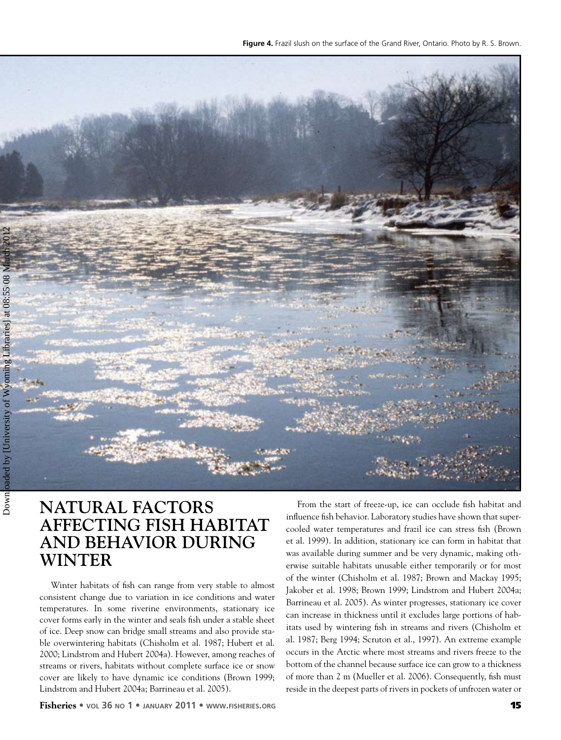

# **Natural Factors Affecting Fish Habitat and Behavior During Winter**

Winter habitats of fish can range from very stable to almost consistent change due to variation in ice conditions and water temperatures. In some riverine environments, stationary ice cover forms early in the winter and seals fish under a stable sheet of ice. Deep snow can bridge small streams and also provide stable overwintering habitats (Chisholm et al. 1987; Hubert et al. 2000; Lindstrom and Hubert 2004a). However, among reaches of streams or rivers, habitats without complete surface ice or snow cover are likely to have dynamic ice conditions (Brown 1999; Lindstrom and Hubert 2004a; Barrineau et al. 2005).

influence fish behavior. Laboratory studies have shown that supercooled water temperatures and frazil ice can stress fish (Brown et al. 1999). In addition, stationary ice can form in habitat that was available during summer and be very dynamic, making otherwise suitable habitats unusable either temporarily or for most of the winter (Chisholm et al. 1987; Brown and Mackay 1995; Jakober et al. 1998; Brown 1999; Lindstrom and Hubert 2004a; Barrineau et al. 2005). As winter progresses, stationary ice cover can increase in thickness until it excludes large portions of habitats used by wintering fish in streams and rivers (Chisholm et al. 1987; Berg 1994; Scruton et al., 1997). An extreme example occurs in the Arctic where most streams and rivers freeze to the bottom of the channel because surface ice can grow to a thickness of more than 2 m (Mueller et al. 2006). Consequently, fish must reside in the deepest parts of rivers in pockets of unfrozen water or

From the start of freeze-up, ice can occlude fish habitat and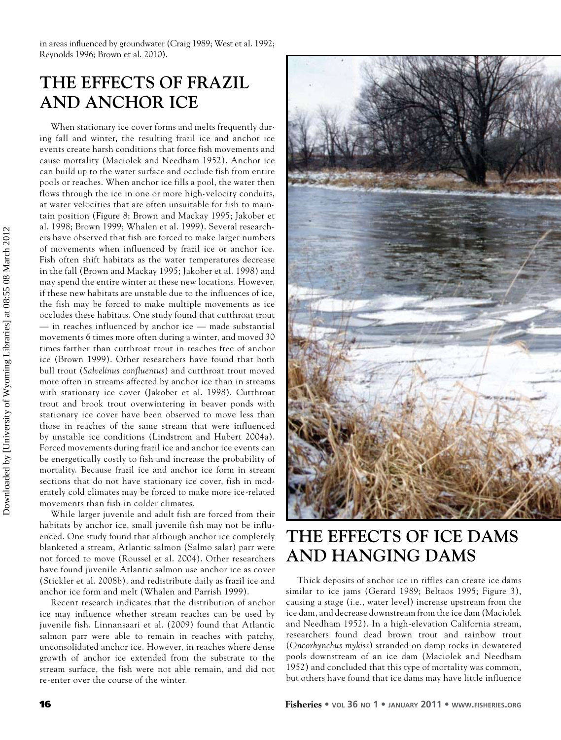in areas influenced by groundwater (Craig 1989; West et al. 1992; Reynolds 1996; Brown et al. 2010).

# **The effects of frazil and anchor ice**

When stationary ice cover forms and melts frequently during fall and winter, the resulting frazil ice and anchor ice events create harsh conditions that force fish movements and cause mortality (Maciolek and Needham 1952). Anchor ice can build up to the water surface and occlude fish from entire pools or reaches. When anchor ice fills a pool, the water then flows through the ice in one or more high-velocity conduits, at water velocities that are often unsuitable for fish to maintain position (Figure 8; Brown and Mackay 1995; Jakober et al. 1998; Brown 1999; Whalen et al. 1999). Several researchers have observed that fish are forced to make larger numbers of movements when influenced by frazil ice or anchor ice. Fish often shift habitats as the water temperatures decrease in the fall (Brown and Mackay 1995; Jakober et al. 1998) and may spend the entire winter at these new locations. However, if these new habitats are unstable due to the influences of ice, the fish may be forced to make multiple movements as ice occludes these habitats. One study found that cutthroat trout — in reaches influenced by anchor ice — made substantial movements 6 times more often during a winter, and moved 30 times farther than cutthroat trout in reaches free of anchor ice (Brown 1999). Other researchers have found that both bull trout (*Salvelinus confluentus*) and cutthroat trout moved more often in streams affected by anchor ice than in streams with stationary ice cover (Jakober et al. 1998). Cutthroat trout and brook trout overwintering in beaver ponds with stationary ice cover have been observed to move less than those in reaches of the same stream that were influenced by unstable ice conditions (Lindstrom and Hubert 2004a). Forced movements during frazil ice and anchor ice events can be energetically costly to fish and increase the probability of mortality. Because frazil ice and anchor ice form in stream sections that do not have stationary ice cover, fish in moderately cold climates may be forced to make more ice-related movements than fish in colder climates.

While larger juvenile and adult fish are forced from their habitats by anchor ice, small juvenile fish may not be influenced. One study found that although anchor ice completely blanketed a stream, Atlantic salmon (Salmo salar) parr were not forced to move (Roussel et al. 2004). Other researchers have found juvenile Atlantic salmon use anchor ice as cover (Stickler et al. 2008b), and redistribute daily as frazil ice and anchor ice form and melt (Whalen and Parrish 1999).

Recent research indicates that the distribution of anchor ice may influence whether stream reaches can be used by juvenile fish. Linnansaari et al. (2009) found that Atlantic salmon parr were able to remain in reaches with patchy, unconsolidated anchor ice. However, in reaches where dense growth of anchor ice extended from the substrate to the stream surface, the fish were not able remain, and did not re-enter over the course of the winter.



# **The effects of ice dams and hanging dams**

Thick deposits of anchor ice in riffles can create ice dams similar to ice jams (Gerard 1989; Beltaos 1995; Figure 3), causing a stage (i.e., water level) increase upstream from the ice dam, and decrease downstream from the ice dam (Maciolek and Needham 1952). In a high-elevation California stream, researchers found dead brown trout and rainbow trout (*Oncorhynchus mykiss*) stranded on damp rocks in dewatered pools downstream of an ice dam (Maciolek and Needham 1952) and concluded that this type of mortality was common, but others have found that ice dams may have little influence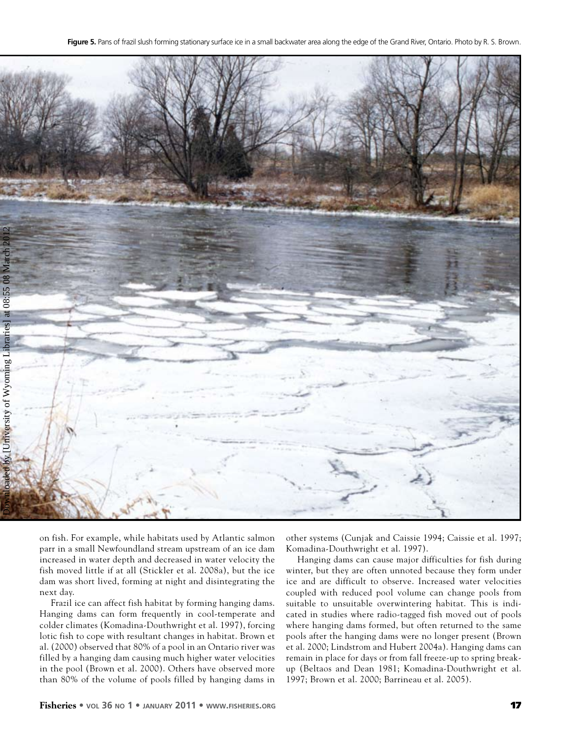

on fish. For example, while habitats used by Atlantic salmon parr in a small Newfoundland stream upstream of an ice dam increased in water depth and decreased in water velocity the fish moved little if at all (Stickler et al. 2008a), but the ice dam was short lived, forming at night and disintegrating the next day.

Frazil ice can affect fish habitat by forming hanging dams. Hanging dams can form frequently in cool-temperate and colder climates (Komadina-Douthwright et al. 1997), forcing lotic fish to cope with resultant changes in habitat. Brown et al. (2000) observed that 80% of a pool in an Ontario river was filled by a hanging dam causing much higher water velocities in the pool (Brown et al. 2000). Others have observed more than 80% of the volume of pools filled by hanging dams in other systems (Cunjak and Caissie 1994; Caissie et al. 1997; Komadina-Douthwright et al. 1997).

Hanging dams can cause major difficulties for fish during winter, but they are often unnoted because they form under ice and are difficult to observe. Increased water velocities coupled with reduced pool volume can change pools from suitable to unsuitable overwintering habitat. This is indicated in studies where radio-tagged fish moved out of pools where hanging dams formed, but often returned to the same pools after the hanging dams were no longer present (Brown et al. 2000; Lindstrom and Hubert 2004a). Hanging dams can remain in place for days or from fall freeze-up to spring breakup (Beltaos and Dean 1981; Komadina-Douthwright et al. 1997; Brown et al. 2000; Barrineau et al. 2005).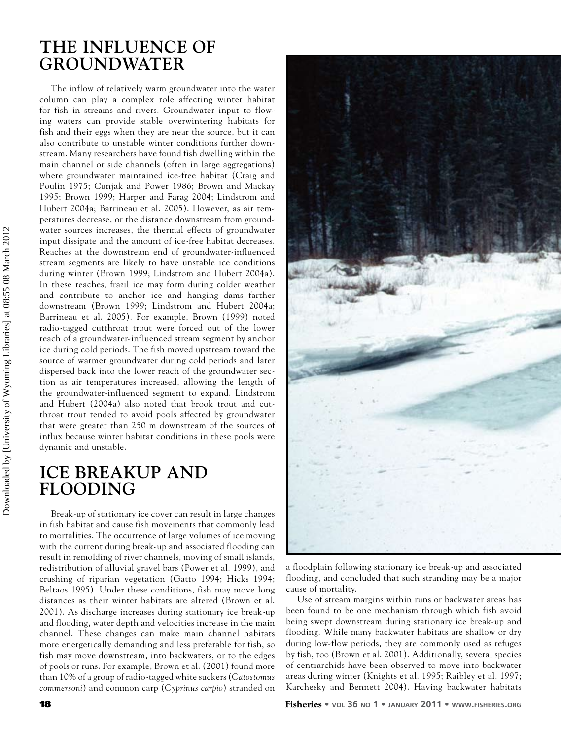#### **The influence of groundwater**

The inflow of relatively warm groundwater into the water column can play a complex role affecting winter habitat for fish in streams and rivers. Groundwater input to flowing waters can provide stable overwintering habitats for fish and their eggs when they are near the source, but it can also contribute to unstable winter conditions further downstream. Many researchers have found fish dwelling within the main channel or side channels (often in large aggregations) where groundwater maintained ice-free habitat (Craig and Poulin 1975; Cunjak and Power 1986; Brown and Mackay 1995; Brown 1999; Harper and Farag 2004; Lindstrom and Hubert 2004a; Barrineau et al. 2005). However, as air temperatures decrease, or the distance downstream from groundwater sources increases, the thermal effects of groundwater input dissipate and the amount of ice-free habitat decreases. Reaches at the downstream end of groundwater-influenced stream segments are likely to have unstable ice conditions during winter (Brown 1999; Lindstrom and Hubert 2004a). In these reaches, frazil ice may form during colder weather and contribute to anchor ice and hanging dams farther downstream (Brown 1999; Lindstrom and Hubert 2004a; Barrineau et al. 2005). For example, Brown (1999) noted radio-tagged cutthroat trout were forced out of the lower reach of a groundwater-influenced stream segment by anchor ice during cold periods. The fish moved upstream toward the source of warmer groundwater during cold periods and later dispersed back into the lower reach of the groundwater section as air temperatures increased, allowing the length of the groundwater-influenced segment to expand. Lindstrom and Hubert (2004a) also noted that brook trout and cutthroat trout tended to avoid pools affected by groundwater that were greater than 250 m downstream of the sources of influx because winter habitat conditions in these pools were dynamic and unstable.

# **Ice breakup and flooding**

Break-up of stationary ice cover can result in large changes in fish habitat and cause fish movements that commonly lead to mortalities. The occurrence of large volumes of ice moving with the current during break-up and associated flooding can result in remolding of river channels, moving of small islands, redistribution of alluvial gravel bars (Power et al. 1999), and crushing of riparian vegetation (Gatto 1994; Hicks 1994; Beltaos 1995). Under these conditions, fish may move long distances as their winter habitats are altered (Brown et al. 2001). As discharge increases during stationary ice break-up and flooding, water depth and velocities increase in the main channel. These changes can make main channel habitats more energetically demanding and less preferable for fish, so fish may move downstream, into backwaters, or to the edges of pools or runs. For example, Brown et al. (2001) found more than 10% of a group of radio-tagged white suckers (*Catostomus commersoni*) and common carp (*Cyprinus carpio*) stranded on



a floodplain following stationary ice break-up and associated flooding, and concluded that such stranding may be a major cause of mortality.

Use of stream margins within runs or backwater areas has been found to be one mechanism through which fish avoid being swept downstream during stationary ice break-up and flooding. While many backwater habitats are shallow or dry during low-flow periods, they are commonly used as refuges by fish, too (Brown et al. 2001). Additionally, several species of centrarchids have been observed to move into backwater areas during winter (Knights et al. 1995; Raibley et al. 1997; Karchesky and Bennett 2004). Having backwater habitats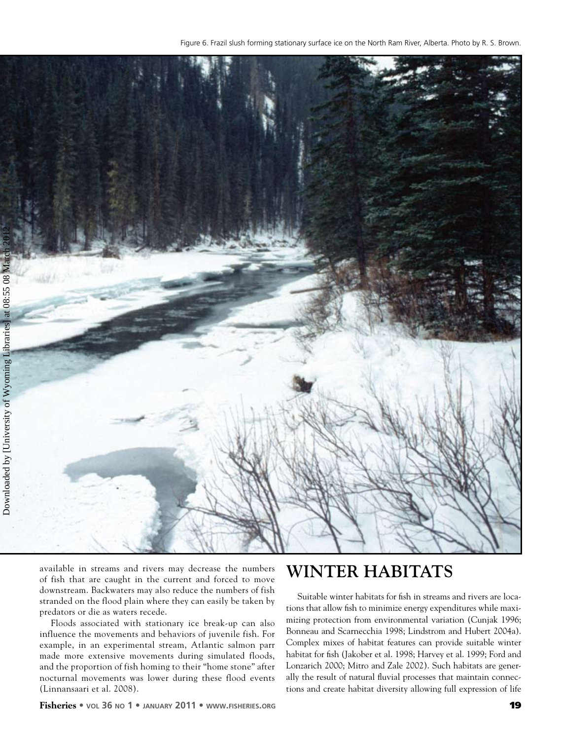

available in streams and rivers may decrease the numbers of fish that are caught in the current and forced to move downstream. Backwaters may also reduce the numbers of fish stranded on the flood plain where they can easily be taken by predators or die as waters recede.

Floods associated with stationary ice break-up can also influence the movements and behaviors of juvenile fish. For example, in an experimental stream, Atlantic salmon parr made more extensive movements during simulated floods, and the proportion of fish homing to their "home stone" after nocturnal movements was lower during these flood events (Linnansaari et al. 2008).

**Winter Habitats**

Suitable winter habitats for fish in streams and rivers are locations that allow fish to minimize energy expenditures while maximizing protection from environmental variation (Cunjak 1996; Bonneau and Scarnecchia 1998; Lindstrom and Hubert 2004a). Complex mixes of habitat features can provide suitable winter habitat for fish (Jakober et al. 1998; Harvey et al. 1999; Ford and Lonzarich 2000; Mitro and Zale 2002). Such habitats are generally the result of natural fluvial processes that maintain connections and create habitat diversity allowing full expression of life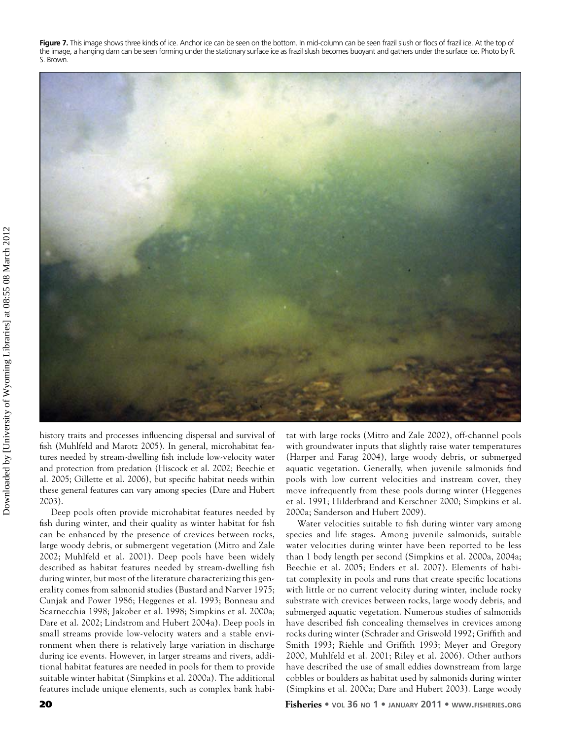Figure 7. This image shows three kinds of ice. Anchor ice can be seen on the bottom. In mid-column can be seen frazil slush or flocs of frazil ice. At the top of the image, a hanging dam can be seen forming under the stationary surface ice as frazil slush becomes buoyant and gathers under the surface ice. Photo by R. S. Brown.



history traits and processes influencing dispersal and survival of fish (Muhlfeld and Marotz 2005). In general, microhabitat features needed by stream-dwelling fish include low-velocity water and protection from predation (Hiscock et al. 2002; Beechie et al. 2005; Gillette et al. 2006), but specific habitat needs within these general features can vary among species (Dare and Hubert 2003).

Deep pools often provide microhabitat features needed by fish during winter, and their quality as winter habitat for fish can be enhanced by the presence of crevices between rocks, large woody debris, or submergent vegetation (Mitro and Zale 2002; Muhlfeld et al. 2001). Deep pools have been widely described as habitat features needed by stream-dwelling fish during winter, but most of the literature characterizing this generality comes from salmonid studies (Bustard and Narver 1975; Cunjak and Power 1986; Heggenes et al. 1993; Bonneau and Scarnecchia 1998; Jakober et al. 1998; Simpkins et al. 2000a; Dare et al. 2002; Lindstrom and Hubert 2004a). Deep pools in small streams provide low-velocity waters and a stable environment when there is relatively large variation in discharge during ice events. However, in larger streams and rivers, additional habitat features are needed in pools for them to provide suitable winter habitat (Simpkins et al. 2000a). The additional features include unique elements, such as complex bank habitat with large rocks (Mitro and Zale 2002), off-channel pools with groundwater inputs that slightly raise water temperatures (Harper and Farag 2004), large woody debris, or submerged aquatic vegetation. Generally, when juvenile salmonids find pools with low current velocities and instream cover, they move infrequently from these pools during winter (Heggenes et al. 1991; Hilderbrand and Kerschner 2000; Simpkins et al. 2000a; Sanderson and Hubert 2009).

Water velocities suitable to fish during winter vary among species and life stages. Among juvenile salmonids, suitable water velocities during winter have been reported to be less than 1 body length per second (Simpkins et al. 2000a, 2004a; Beechie et al. 2005; Enders et al. 2007). Elements of habitat complexity in pools and runs that create specific locations with little or no current velocity during winter, include rocky substrate with crevices between rocks, large woody debris, and submerged aquatic vegetation. Numerous studies of salmonids have described fish concealing themselves in crevices among rocks during winter (Schrader and Griswold 1992; Griffith and Smith 1993; Riehle and Griffith 1993; Meyer and Gregory 2000, Muhlfeld et al. 2001; Riley et al. 2006). Other authors have described the use of small eddies downstream from large cobbles or boulders as habitat used by salmonids during winter (Simpkins et al. 2000a; Dare and Hubert 2003). Large woody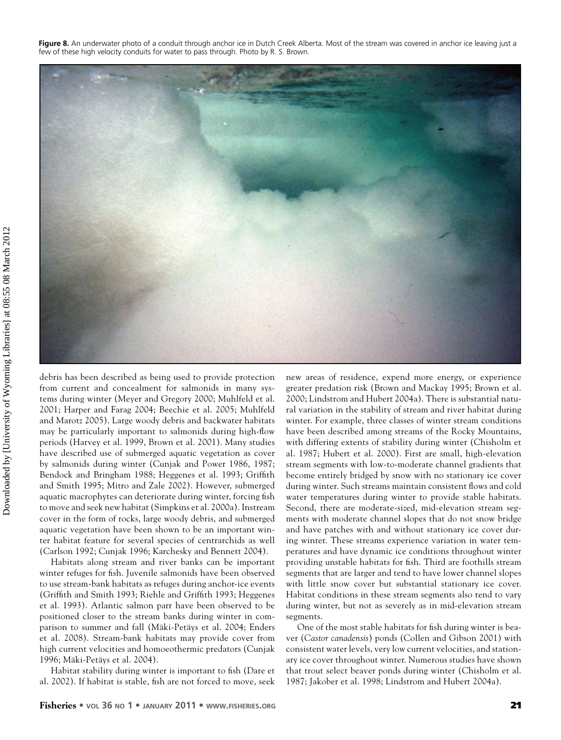Figure 8. An underwater photo of a conduit through anchor ice in Dutch Creek Alberta. Most of the stream was covered in anchor ice leaving just a few of these high velocity conduits for water to pass through. Photo by R. S. Brown.



debris has been described as being used to provide protection from current and concealment for salmonids in many systems during winter (Meyer and Gregory 2000; Muhlfeld et al. 2001; Harper and Farag 2004; Beechie et al. 2005; Muhlfeld and Marotz 2005). Large woody debris and backwater habitats may be particularly important to salmonids during high-flow periods (Harvey et al. 1999, Brown et al. 2001). Many studies have described use of submerged aquatic vegetation as cover by salmonids during winter (Cunjak and Power 1986, 1987; Bendock and Bringham 1988; Heggenes et al. 1993; Griffith and Smith 1995; Mitro and Zale 2002). However, submerged aquatic macrophytes can deteriorate during winter, forcing fish to move and seek new habitat (Simpkins et al. 2000a). Instream cover in the form of rocks, large woody debris, and submerged aquatic vegetation have been shown to be an important winter habitat feature for several species of centrarchids as well (Carlson 1992; Cunjak 1996; Karchesky and Bennett 2004).

Habitats along stream and river banks can be important winter refuges for fish. Juvenile salmonids have been observed to use stream-bank habitats as refuges during anchor-ice events (Griffith and Smith 1993; Riehle and Griffith 1993; Heggenes et al. 1993). Atlantic salmon parr have been observed to be positioned closer to the stream banks during winter in comparison to summer and fall (Mäki-Petäys et al. 2004; Enders et al. 2008). Stream-bank habitats may provide cover from high current velocities and homoeothermic predators (Cunjak 1996; Mäki-Petäys et al. 2004).

Habitat stability during winter is important to fish (Dare et al. 2002). If habitat is stable, fish are not forced to move, seek new areas of residence, expend more energy, or experience greater predation risk (Brown and Mackay 1995; Brown et al. 2000; Lindstrom and Hubert 2004a). There is substantial natural variation in the stability of stream and river habitat during winter. For example, three classes of winter stream conditions have been described among streams of the Rocky Mountains, with differing extents of stability during winter (Chisholm et al. 1987; Hubert et al. 2000). First are small, high-elevation stream segments with low-to-moderate channel gradients that become entirely bridged by snow with no stationary ice cover during winter. Such streams maintain consistent flows and cold water temperatures during winter to provide stable habitats. Second, there are moderate-sized, mid-elevation stream segments with moderate channel slopes that do not snow bridge and have patches with and without stationary ice cover during winter. These streams experience variation in water temperatures and have dynamic ice conditions throughout winter providing unstable habitats for fish. Third are foothills stream segments that are larger and tend to have lower channel slopes with little snow cover but substantial stationary ice cover. Habitat conditions in these stream segments also tend to vary during winter, but not as severely as in mid-elevation stream segments.

One of the most stable habitats for fish during winter is beaver (*Castor canadensis*) ponds (Collen and Gibson 2001) with consistent water levels, very low current velocities, and stationary ice cover throughout winter. Numerous studies have shown that trout select beaver ponds during winter (Chisholm et al. 1987; Jakober et al. 1998; Lindstrom and Hubert 2004a).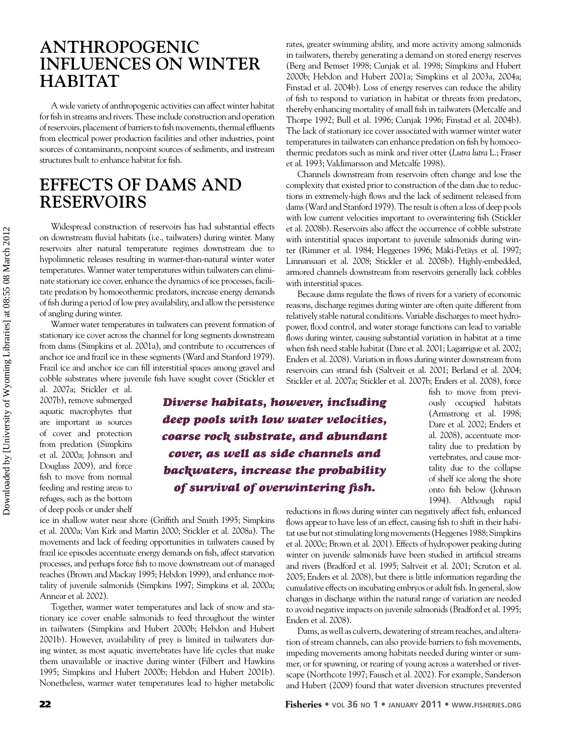# **Anthropogenic Influences on Winter Habitat**

A wide variety of anthropogenic activities can affect winter habitat for fish in streams and rivers. These include construction and operation of reservoirs, placement of barriers to fish movements, thermal effluents from electrical power production facilities and other industries, point sources of contaminants, nonpoint sources of sediments, and instream structures built to enhance habitat for fish.

# **Effects of dams and reservoirs**

Widespread construction of reservoirs has had substantial effects on downstream fluvial habitats (i.e., tailwaters) during winter. Many reservoirs alter natural temperature regimes downstream due to hypolimnetic releases resulting in warmer-than-natural winter water temperatures. Warmer water temperatures within tailwaters can eliminate stationary ice cover, enhance the dynamics of ice processes, facilitate predation by homoeothermic predators, increase energy demands of fish during a period of low prey availability, and allow the persistence of angling during winter.

Warmer water temperatures in tailwaters can prevent formation of stationary ice cover across the channel for long segments downstream from dams (Simpkins et al. 2001a), and contribute to occurrences of anchor ice and frazil ice in these segments (Ward and Stanford 1979). Frazil ice and anchor ice can fill interstitial spaces among gravel and cobble substrates where juvenile fish have sought cover (Stickler et

al. 2007a; Stickler et al. 2007b), remove submerged aquatic macrophytes that are important as sources of cover and protection from predation (Simpkins et al. 2000a; Johnson and Douglass 2009), and force fish to move from normal feeding and resting areas to refuges, such as the bottom of deep pools or under shelf

*Diverse habitats, however, including deep pools with low water velocities, coarse rock substrate, and abundant cover, as well as side channels and backwaters, increase the probability of survival of overwintering fish.* 

ice in shallow water near shore (Griffith and Smith 1995; Simpkins et al. 2000a; Van Kirk and Martin 2000; Stickler et al. 2008a). The movements and lack of feeding opportunities in tailwaters caused by frazil ice episodes accentuate energy demands on fish, affect starvation processes, and perhaps force fish to move downstream out of managed reaches (Brown and Mackay 1995; Hebdon 1999), and enhance mortality of juvenile salmonids (Simpkins 1997; Simpkins et al. 2000a; Annear et al. 2002).

Together, warmer water temperatures and lack of snow and stationary ice cover enable salmonids to feed throughout the winter in tailwaters (Simpkins and Hubert 2000b; Hebdon and Hubert 2001b). However, availability of prey is limited in tailwaters during winter, as most aquatic invertebrates have life cycles that make them unavailable or inactive during winter (Filbert and Hawkins 1995; Simpkins and Hubert 2000b; Hebdon and Hubert 2001b). Nonetheless, warmer water temperatures lead to higher metabolic rates, greater swimming ability, and more activity among salmonids in tailwaters, thereby generating a demand on stored energy reserves (Berg and Bemset 1998; Cunjak et al. 1998; Simpkins and Hubert 2000b; Hebdon and Hubert 2001a; Simpkins et al 2003a, 2004a; Finstad et al. 2004b). Loss of energy reserves can reduce the ability of fish to respond to variation in habitat or threats from predators, thereby enhancing mortality of small fish in tailwaters (Metcalfe and Thorpe 1992; Bull et al. 1996; Cunjak 1996; Finstad et al. 2004b). The lack of stationary ice cover associated with warmer winter water temperatures in tailwaters can enhance predation on fish by homoeothermic predators such as mink and river otter (*Lutra lutra* L.; Fraser et al. 1993; Valdimarsson and Metcalfe 1998).

Channels downstream from reservoirs often change and lose the complexity that existed prior to construction of the dam due to reductions in extremely-high flows and the lack of sediment released from dams (Ward and Stanford 1979). The result is often a loss of deep pools with low current velocities important to overwintering fish (Stickler et al. 2008b). Reservoirs also affect the occurrence of cobble substrate with interstitial spaces important to juvenile salmonids during winter (Rimmer et al. 1984; Heggenes 1996; Mäki-Petäys et al. 1997; Linnansaari et al. 2008; Stickler et al. 2008b). Highly-embedded, armored channels downstream from reservoirs generally lack cobbles with interstitial spaces.

Because dams regulate the flows of rivers for a variety of economic reasons, discharge regimes during winter are often quite different from relatively stable natural conditions. Variable discharges to meet hydropower, flood control, and water storage functions can lead to variable flows during winter, causing substantial variation in habitat at a time when fish need stable habitat (Dare et al. 2001; Lagarrigue et al. 2002; Enders et al. 2008). Variation in flows during winter downstream from reservoirs can strand fish (Saltveit et al. 2001; Berland et al. 2004; Stickler et al. 2007a; Stickler et al. 2007b; Enders et al. 2008), force

> fish to move from previously occupied habitats (Armstrong et al. 1998; Dare et al. 2002; Enders et al. 2008), accentuate mortality due to predation by vertebrates, and cause mortality due to the collapse of shelf ice along the shore onto fish below (Johnson 1994). Although rapid

reductions in flows during winter can negatively affect fish, enhanced flows appear to have less of an effect, causing fish to shift in their habitat use but not stimulating long movements (Heggenes 1988; Simpkins et al. 2000c; Brown et al. 2001). Effects of hydropower peaking during winter on juvenile salmonids have been studied in artificial streams and rivers (Bradford et al. 1995; Saltveit et al. 2001; Scruton et al. 2005; Enders et al. 2008), but there is little information regarding the cumulative effects on incubating embryos or adult fish. In general, slow changes in discharge within the natural range of variation are needed to avoid negative impacts on juvenile salmonids (Bradford et al. 1995; Enders et al. 2008).

Dams, as well as culverts, dewatering of stream reaches, and alteration of stream channels, can also provide barriers to fish movements, impeding movements among habitats needed during winter or summer, or for spawning, or rearing of young across a watershed or riverscape (Northcote 1997; Fausch et al. 2002). For example, Sanderson and Hubert (2009) found that water diversion structures prevented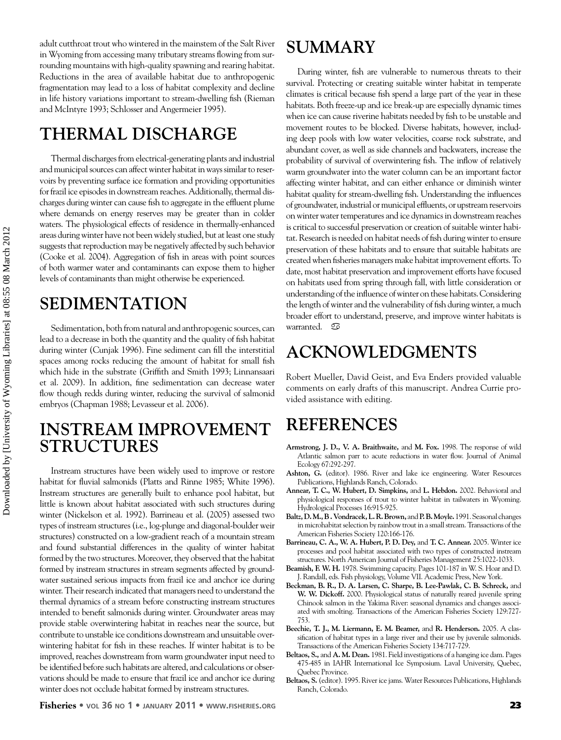adult cutthroat trout who wintered in the mainstem of the Salt River in Wyoming from accessing many tributary streams flowing from surrounding mountains with high-quality spawning and rearing habitat. Reductions in the area of available habitat due to anthropogenic fragmentation may lead to a loss of habitat complexity and decline in life history variations important to stream-dwelling fish (Rieman and McIntyre 1993; Schlosser and Angermeier 1995).

# **Thermal discharge**

Thermal discharges from electrical-generating plants and industrial and municipal sources can affect winter habitat in ways similar to reservoirs by preventing surface ice formation and providing opportunities for frazil ice episodes in downstream reaches. Additionally, thermal discharges during winter can cause fish to aggregate in the effluent plume where demands on energy reserves may be greater than in colder waters. The physiological effects of residence in thermally-enhanced areas during winter have not been widely studied, but at least one study suggests that reproduction may be negatively affected by such behavior (Cooke et al. 2004). Aggregation of fish in areas with point sources of both warmer water and contaminants can expose them to higher levels of contaminants than might otherwise be experienced.

# **Sedimentation**

Sedimentation, both from natural and anthropogenic sources, can lead to a decrease in both the quantity and the quality of fish habitat during winter (Cunjak 1996). Fine sediment can fill the interstitial spaces among rocks reducing the amount of habitat for small fish which hide in the substrate (Griffith and Smith 1993; Linnansaari et al. 2009). In addition, fine sedimentation can decrease water flow though redds during winter, reducing the survival of salmonid embryos (Chapman 1988; Levasseur et al. 2006).

# **Instream improvement structures**

Instream structures have been widely used to improve or restore habitat for fluvial salmonids (Platts and Rinne 1985; White 1996). Instream structures are generally built to enhance pool habitat, but little is known about habitat associated with such structures during winter (Nickelson et al. 1992). Barrineau et al. (2005) assessed two types of instream structures (i.e., log-plunge and diagonal-boulder weir structures) constructed on a low-gradient reach of a mountain stream and found substantial differences in the quality of winter habitat formed by the two structures. Moreover, they observed that the habitat formed by instream structures in stream segments affected by groundwater sustained serious impacts from frazil ice and anchor ice during winter. Their research indicated that managers need to understand the thermal dynamics of a stream before constructing instream structures intended to benefit salmonids during winter. Groundwater areas may provide stable overwintering habitat in reaches near the source, but contribute to unstable ice conditions downstream and unsuitable overwintering habitat for fish in these reaches. If winter habitat is to be improved, reaches downstream from warm groundwater input need to be identified before such habitats are altered, and calculations or observations should be made to ensure that frazil ice and anchor ice during winter does not occlude habitat formed by instream structures.

# **Summary**

During winter, fish are vulnerable to numerous threats to their survival. Protecting or creating suitable winter habitat in temperate climates is critical because fish spend a large part of the year in these habitats. Both freeze-up and ice break-up are especially dynamic times when ice can cause riverine habitats needed by fish to be unstable and movement routes to be blocked. Diverse habitats, however, including deep pools with low water velocities, coarse rock substrate, and abundant cover, as well as side channels and backwaters, increase the probability of survival of overwintering fish. The inflow of relatively warm groundwater into the water column can be an important factor affecting winter habitat, and can either enhance or diminish winter habitat quality for stream-dwelling fish. Understanding the influences of groundwater, industrial or municipal effluents, or upstream reservoirs on winter water temperatures and ice dynamics in downstream reaches is critical to successful preservation or creation of suitable winter habitat. Research is needed on habitat needs of fish during winter to ensure preservation of these habitats and to ensure that suitable habitats are created when fisheries managers make habitat improvement efforts. To date, most habitat preservation and improvement efforts have focused on habitats used from spring through fall, with little consideration or understanding of the influence of winter on these habitats. Considering the length of winter and the vulnerability of fish during winter, a much broader effort to understand, preserve, and improve winter habitats is warranted.  $\circledcirc$ 

# **Acknowledgments**

Robert Mueller, David Geist, and Eva Enders provided valuable comments on early drafts of this manuscript. Andrea Currie provided assistance with editing.

# **References**

- **Armstrong, J. D., V. A. Braithwaite,** and **M. Fox.** 1998. The response of wild Atlantic salmon parr to acute reductions in water flow. Journal of Animal Ecology 67:292-297.
- **Ashton, G.** (editor). 1986. River and lake ice engineering. Water Resources Publications, Highlands Ranch, Colorado.
- **Annear, T. C., W. Hubert, D. Simpkins,** and **L. Hebdon.** 2002. Behavioral and physiological responses of trout to winter habitat in tailwaters in Wyoming. Hydrological Processes 16:915-925.
- **Baltz, D. M., B . Vondracek, L. R. Brown,** and **P. B. Moyle.** 1991. Seasonal changes in microhabitat selection by rainbow trout in a small stream. Transactions of the American Fisheries Society 120:166-176.
- **Barrineau, C. A., W. A. Hubert, P. D. Dey,** and **T. C. Annear.** 2005. Winter ice processes and pool habitat associated with two types of constructed instream structures. North American Journal of Fisheries Management 25:1022-1033.
- **Beamish, F. W. H.** 1978. Swimming capacity. Pages 101-187 in W. S. Hoar and D. J. Randall, eds. Fish physiology, Volume VII. Academic Press, New York.
- **Beckman, B. R., D. A. Larsen, C. Sharpe, B. Lee-Pawlak, C. B. Schreck,** and **W. W. Dickoff.** 2000. Physiological status of naturally reared juvenile spring Chinook salmon in the Yakima River: seasonal dynamics and changes associated with smolting. Transactions of the American Fisheries Society 129:727- 753.
- **Beechie, T. J., M. Liermann, E. M. Beamer,** and **R. Henderson.** 2005. A classification of habitat types in a large river and their use by juvenile salmonids. Transactions of the American Fisheries Society 134:717-729.
- **Beltaos, S.,** and **A. M. Dean.** 1981. Field investigations of a hanging ice dam. Pages 475-485 in IAHR International Ice Symposium. Laval University, Quebec, Quebec Province.
- **Beltaos, S.** (editor). 1995. River ice jams. Water Resources Publications, Highlands Ranch, Colorado.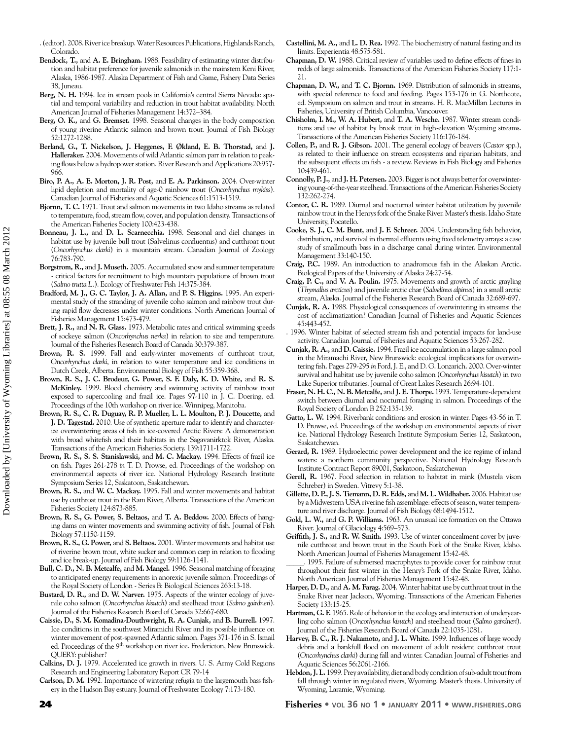- . (editor). 2008. River ice breakup. Water Resources Publications, Highlands Ranch, Colorado.
- **Bendock, T.,** and **A. E. Bringham.** 1988. Feasibility of estimating winter distribution and habitat preference for juvenile salmonids in the mainstem Keni River, Alaska, 1986-1987. Alaska Department of Fish and Game, Fishery Data Series 38, Juneau.
- **Berg, N. H.** 1994. Ice in stream pools in California's central Sierra Nevada: spatial and temporal variability and reduction in trout habitat availability. North American Journal of Fisheries Management 14:372–384.
- **Berg, O. K.,** and **G. Bremset.** 1998. Seasonal changes in the body composition of young riverine Atlantic salmon and brown trout. Journal of Fish Biology 52:1272-1288.
- **Berland, G., T. Nickelson, J. Heggenes, F. Økland, E. B. Thorstad,** and **J. Halleraker.** 2004. Movements of wild Atlantic salmon parr in relation to peaking flows below a hydropower station. River Research and Applications 20:957- 966.
- **Biro, P. A., A. E. Morton, J. R. Post,** and **E. A. Parkinson.** 2004. Over-winter lipid depletion and mortality of age-0 rainbow trout (*Oncorhynchus mykiss*). Canadian Journal of Fisheries and Aquatic Sciences 61:1513-1519.
- **Bjornn, T. C.** 1971. Trout and salmon movements in two Idaho streams as related to temperature, food, stream flow, cover, and population density. Transactions of the American Fisheries Society 100:423-438.
- **Bonneau, J. L.,** and **D. L. Scarnecchia.** 1998. Seasonal and diel changes in habitat use by juvenile bull trout (Salvelinus confluentus) and cutthroat trout (*Oncorhynchus clarki*) in a mountain stream. Canadian Journal of Zoology 76:783-790.
- **Borgstrom, R.,** and **J. Museth.** 2005. Accumulated snow and summer temperature - critical factors for recruitment to high mountain populations of brown trout (*Salmo trutta L.*). Ecology of Freshwater Fish 14:375-384.
- **Bradford, M. J., G. C. Taylor, J. A. Allan,** and **P. S. Higgins.** 1995. An experimental study of the stranding of juvenile coho salmon and rainbow trout during rapid flow decreases under winter conditions. North American Journal of Fisheries Management 15:473-479.
- **Brett, J. R.,** and **N. R. Glass.** 1973. Metabolic rates and critical swimming speeds of sockeye salmon (*Oncorhynchus nerka*) in relation to size and temperature. Journal of the Fisheries Research Board of Canada 30:379-387.
- **Brown, R. S.** 1999. Fall and early-winter movements of cutthroat trout, *Oncorhynchus clarki*, in relation to water temperature and ice conditions in Dutch Creek, Alberta. Environmental Biology of Fish 55:359-368.
- **Brown, R. S., J. C. Brodeur, G. Power, S. F. Daly, K. D. White,** and **R. S. McKinley.** 1999. Blood chemistry and swimming activity of rainbow trout exposed to supercooling and frazil ice. Pages 97-110 in J. C. Doering, ed. Proceedings of the 10th workshop on river ice. Winnipeg, Manitoba.
- **Brown, R. S., C. R. Duguay, R. P. Mueller, L. L. Moulton, P. J. Doucette,** and **J. D. Tagestad.** 2010. Use of synthetic aperture radar to identify and characterize overwintering areas of fish in ice-covered Arctic Rivers: A demonstration with broad whitefish and their habitats in the Sagavanirktok River, Alaska. Transactions of the American Fisheries Society. 139:1711-1722.
- B**rown, R. S., S. S. Stanislawski,** and **M. C. Mackay.** 1994. Effects of frazil ice on fish. Pages 261-278 *in* T. D. Prowse, ed. Proceedings of the workshop on environmental aspects of river ice. National Hydrology Research Institute Symposium Series 12, Saskatoon, Saskatchewan.
- **Brown, R. S.,** and **W. C. Mackay.** 1995. Fall and winter movements and habitat use by cutthroat trout in the Ram River, Alberta. Transactions of the American Fisheries Society 124:873-885.
- **Brown, R. S., G. Power, S. Beltaos,** and **T. A. Beddow.** 2000. Effects of hanging dams on winter movements and swimming activity of fish. Journal of Fish Biology 57:1150-1159.
- **Brown, R. S., G. Power,** and **S. Beltaos.** 2001. Winter movements and habitat use of riverine brown trout, white sucker and common carp in relation to flooding and ice break-up. Journal of Fish Biology 59:1126-1141.
- **Bull, C. D., N. B. Metcalfe,** and **M. Mangel.** 1996. Seasonal matching of foraging to anticipated energy requirements in anorexic juvenile salmon. Proceedings of the Royal Society of London - Series B: Biological Sciences 263:13-18.
- **Bustard, D. R.,** and **D. W. Narver.** 1975. Aspects of the winter ecology of juvenile coho salmon (*Oncorhynchus kisutch*) and steelhead trout (*Salmo gairdneri*). Journal of the Fisheries Research Board of Canada 32:667-680.
- **Caissie, D., S. M. Komadina-Douthwright, R. A. Cunjak,** and **B. Burrell.** 1997. Ice conditions in the southwest Miramichi River and its possible influence on winter movement of post-spawned Atlantic salmon. Pages 371-176 in S. Ismail ed. Proceedings of the 9<sup>th</sup> workshop on river ice. Fredericton, New Brunswick. QUERY: publisher?
- **Calkins, D. J.** 1979. Accelerated ice growth in rivers. U. S. Army Cold Regions Research and Engineering Laboratory Report CR 79-14
- **Carlson, D. M.** 1992. Importance of wintering refugia to the largemouth bass fishery in the Hudson Bay estuary. Journal of Freshwater Ecology 7:173-180.
- **Castellini, M. A.,** and **L. D. Rea.** 1992. The biochemistry of natural fasting and its limits. Experientia 48:575-581.
- **Chapman, D. W.** 1988. Critical review of variables used to define effects of fines in redds of large salmonids. Transactions of the American Fisheries Society 117:1- 21.
- **Chapman, D. W.,** and **T. C. Bjornn.** 1969. Distribution of salmonids in streams, with special reference to food and feeding. Pages 153-176 in G. Northcote, ed. Symposium on salmon and trout in streams. H. R. MacMillan Lectures in Fisheries, University of British Columbia, Vancouver.
- **Chisholm, I. M., W. A. Hubert,** and **T. A. Wesche.** 1987. Winter stream conditions and use of habitat by brook trout in high-elevation Wyoming streams. Transactions of the American Fisheries Society 116:176-184.
- **Collen, P.,** and **R. J. Gibson.** 2001. The general ecology of beavers (*Castor* spp.), as related to their influence on stream ecosystems and riparian habitats, and the subsequent effects on fish - a review. Reviews in Fish Biology and Fisheries 10:439-461.
- **Connolly, P. J.,** and **J. H. Petersen.** 2003. Bigger is not always better for overwintering young-of-the-year steelhead. Transactions of the American Fisheries Society 132:262-274.
- **Contor, C. R.** 1989. Diurnal and nocturnal winter habitat utilization by juvenile rainbow trout in the Henrys fork of the Snake River. Master's thesis. Idaho State University, Pocatello.
- **Cooke, S. J., C. M. Bunt,** and **J. F. Schreer.** 2004. Understanding fish behavior, distribution, and survival in thermal effluents using fixed telemetry arrays: a case study of smallmouth bass in a discharge canal during winter. Environmental Management 33:140-150.
- **Craig, P.C.** 1989. An introduction to anadromous fish in the Alaskan Arctic. Biological Papers of the University of Alaska 24:27-54.
- **Craig, P. C.,** and **V. A. Poulin.** 1975. Movements and growth of arctic grayling (*Thymallus arcticus*) and juvenile arctic char (*Salvelinus alpinus*) in a small arctic stream, Alaska. Journal of the Fisheries Research Board of Canada 32:689-697.
- **Cunjak, R. A.** 1988. Physiological consequences of overwintering in streams: the cost of acclimatization? Canadian Journal of Fisheries and Aquatic Sciences 45:443-452.
- . 1996. Winter habitat of selected stream fish and potential impacts for land-use activity. Canadian Journal of Fisheries and Aquatic Sciences 53:267-282.
- **Cunjak, R. A.,** and **D. Caissie.** 1994. Frazil ice accumulation in a large salmon pool in the Miramachi River, New Brunswick: ecological implications for overwintering fish. Pages 279-295 *in* Ford, J. E., and D. G. Lonzarich. 2000. Over-winter survival and habitat use by juvenile coho salmon (*Oncorhynchus kisutch*) in two Lake Superior tributaries. Journal of Great Lakes Research 26:94-101.
- **Fraser, N. H. C., N. B. Metcalfe,** and **J. E. Thorpe.** 1993. Temperature-dependent switch between diurnal and nocturnal foraging in salmon. Proceedings of the Royal Society of London B 252:135-139.
- **Gatto, L. W.** 1994. Riverbank conditions and erosion in winter. Pages 43-56 in T. D. Prowse, ed. Proceedings of the workshop on environmental aspects of river ice. National Hydrology Research Institute Symposium Series 12, Saskatoon, Saskatchewan.
- **Gerard, R.** 1989. Hydroelectric power development and the ice regime of inland waters: a northern community perspective. National Hydrology Research Institute Contract Report 89001, Saskatoon, Saskatchewan
- **Gerell, R.** 1967. Food selection in relation to habitat in mink (Mustela vison Schreber) in Sweden. Vitrevy 5:1-38.
- **Gillette, D. P., J. S. Tiemann, D. R. Edds,** and **M. L. Wildhaber.** 2006. Habitat use by a Midwestern USA riverine fish assemblage: effects of season, water temperature and river discharge. Journal of Fish Biology 68:1494-1512.
- **Gold, L. W.,** and **G. P. Williams.** 1963. An unusual ice formation on the Ottawa River. Journal of Glaciology 4:569–573.
- **Griffith, J. S.,** and **R. W. Smith.** 1993. Use of winter concealment cover by juvenile cutthroat and brown trout in the South Fork of the Snake River, Idaho. North American Journal of Fisheries Management 15:42-48.
- \_\_\_\_\_. 1995. Failure of submersed macrophytes to provide cover for rainbow trout throughout their first winter in the Henry's Fork of the Snake River, Idaho. North American Journal of Fisheries Management 15:42-48.
- **Harper, D. D.,** and **A. M. Farag.** 2004. Winter habitat use by cutthroat trout in the Snake River near Jackson, Wyoming. Transactions of the American Fisheries Society 133:15-25.
- **Hartman, G. F.** 1965. Role of behavior in the ecology and interaction of underyearling coho salmon (*Oncorhynchus kisutch*) and steelhead trout (*Salmo gairdneri*). Journal of the Fisheries Research Board of Canada 22:1035-1081.
- **Harvey, B. C., R. J. Nakamoto,** and **J. L. White.** 1999. Influences of large woody debris and a bankfull flood on movement of adult resident cutthroat trout (*Oncorhynchus clarki*) during fall and winter. Canadian Journal of Fisheries and Aquatic Sciences 56:2061-2166.
- **Hebdon, J. L.** 1999. Prey availability, diet and body condition of sub-adult trout from fall through winter in regulated rivers, Wyoming. Master's thesis. University of Wyoming, Laramie, Wyoming.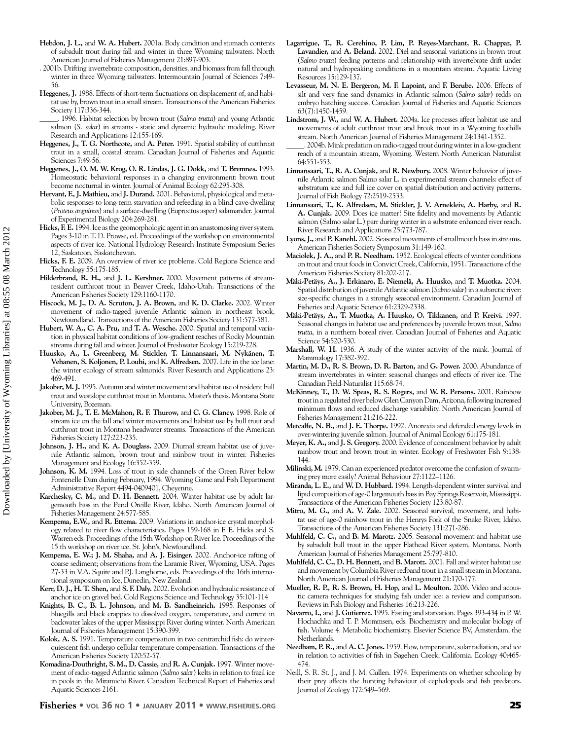- **Hebdon, J. L.,** and **W. A. Hubert.** 2001a. Body condition and stomach contents of subadult trout during fall and winter in three Wyoming tailwaters. North American Journal of Fisheries Management 21:897-903.
- . 2001b. Drifting invertebrate composition, densities, and biomass from fall through winter in three Wyoming tailwaters. Intermountain Journal of Sciences 7:49- 56.
- **Heggenes, J.** 1988. Effects of short-term fluctuations on displacement of, and habitat use by, brown trout in a small stream. Transactions of the American Fisheries Society 117:336-344.
- \_\_\_\_\_. 1996. Habitat selection by brown trout (*Salmo trutta*) and young Atlantic salmon (*S. salar*) in streams - static and dynamic hydraulic modeling. River Research and Applications 12:155-169.
- **Heggenes, J., T. G. Northcote,** and **A. Peter.** 1991. Spatial stability of cutthroat trout in a small, coastal stream. Canadian Journal of Fisheries and Aquatic Sciences 7:49-56.
- **Heggenes, J., O. M. W. Krog, O. R. Lindas, J. G. Dokk,** and **T. Bremnes.** 1993. Homeostatic behavioral responses in a changing environment: brown trout become nocturnal in winter. Journal of Animal Ecology 62:295-308.
- **Hervant, F., J. Mathieu,** and **J. Durand.** 2001. Behavioral, physiological and metabolic responses to long-term starvation and refeeding in a blind cave-dwelling (*Proteus anguinus*) and a surface-dwelling (Euproctus asper) salamander. Journal of Experimental Biology 204:269-281.
- **Hicks, F. E.** 1994. Ice as the geomorphologic agent in an anastomosing river system. Pages 3-10 in T. D. Prowse, ed. Proceedings of the workshop on environmental aspects of river ice. National Hydrology Research Institute Symposium Series 12, Saskatoon, Saskatchewan.
- **Hicks, F. E.** 2009. An overview of river ice problems. Cold Regions Science and Technology 55:175-185.
- **Hilderbrand, R. H.,** and **J. L. Kershner.** 2000. Movement patterns of streamresident cutthroat trout in Beaver Creek, Idaho-Utah. Transactions of the American Fisheries Society 129:1160-1170.
- **Hiscock, M. J., D. A. Scruton, J. A. Brown,** and **K. D. Clarke.** 2002. Winter movement of radio-tagged juvenile Atlantic salmon in northeast brook, Newfoundland. Transactions of the American Fisheries Society 131:577-581.
- **Hubert, W. A., C. A. Pru,** and **T. A. Wesche.** 2000. Spatial and temporal variation in physical habitat conditions of low-gradient reaches of Rocky Mountain streams during fall and winter. Journal of Freshwater Ecology 15:219-228.
- **Huusko, A., L. Greenberg, M. Stickler, T. Linnansaari, M. Nykänen, T. Vehanen, S. Koljonen, P. Louhi,** and **K. Alfredsen.** 2007. Life in the ice lane: the winter ecology of stream salmonids. River Research and Applications 23: 469-491.
- **Jakober, M. J.** 1995. Autumn and winter movement and habitat use of resident bull trout and westslope cutthroat trout in Montana. Master's thesis. Montana State University, Bozeman.
- **Jakober, M. J., T. E. McMahon, R. F. Thurow,** and **C. G. Clancy.** 1998. Role of stream ice on the fall and winter movements and habitat use by bull trout and cutthroat trout in Montana headwater streams. Transactions of the American Fisheries Society 127:223-235.
- **Johnson, J. H.,** and **K. A. Douglass.** 2009. Diurnal stream habitat use of juvenile Atlantic salmon, brown trout and rainbow trout in winter. Fisheries Management and Ecology 16:352-359.
- **Johnson, K. M.** 1994. Loss of trout in side channels of the Green River below Fontenelle Dam during February, 1994. Wyoming Game and Fish Department Administrative Report 4494-0409401, Cheyenne.
- **Karchesky, C. M.,** and **D. H. Bennett.** 2004. Winter habitat use by adult largemouth bass in the Pend Oreille River, Idaho. North American Journal of Fisheries Management 24:577-585.
- **Kempema, E.W.,** and **R. Ettema.** 2009. Variations in anchor-ice crystal morphology related to river flow characteristics. Pages 159-168 in F. E. Hicks and S. Warren eds. Proceedings of the 15th Workshop on River Ice. Proceedings of the 15 th workshop on river ice. St. John's, Newfoundland.
- **Kempema, E. W.; J. M. Shaha,** and **A. J. Eisinger.** 2002. Anchor-ice rafting of coarse sediment; observations from the Laramie River, Wyoming, USA. Pages 27-33 in V.A. Squire and P.J. Langhorne, eds. Proceedings of the 16th international symposium on Ice, Dunedin, New Zealand.
- **Kerr, D. J., H. T. Shen,** and **S. F. Daly.** 2002. Evolution and hydraulic resistance of anchor ice on gravel bed. Cold Regions Science and Technology 35:101-114
- **Knights, B. C., B. L. Johnson,** and **M. B. Sandheinrich.** 1995. Responses of bluegills and black crappies to dissolved oxygen, temperature, and current in backwater lakes of the upper Mississippi River during winter. North American Journal of Fisheries Management 15:390-399.
- **Kolok, A. S.** 1991. Temperature compensation in two centrarchid fish: do winterquiescent fish undergo cellular temperature compensation. Transactions of the American Fisheries Society 120:52-57.
- **Komadina-Douthright, S. M., D. Cassie,** and **R. A. Cunjak.** 1997. Winter movement of radio-tagged Atlantic salmon (*Salmo salar*) kelts in relation to frazil ice in pools in the Miramichi River. Canadian Technical Report of Fisheries and Aquatic Sciences 2161.
- **Lagarrigue, T., R. Cerehino, P. Lim, P. Reyes-Marchant, R. Chappaz, P. Lavandier,** and **A. Beland.** 2002. Diel and seasonal variations in brown trout (*Salmo trutta*) feeding patterns and relationship with invertebrate drift under natural and hydropeaking conditions in a mountain stream. Aquatic Living Resources 15:129-137.
- **Levasseur, M. N. E. Bergeron, M. F. Lapoint,** and **F. Berube.** 2006. Effects of silt and very fine sand dynamics in Atlantic salmon (*Salmo salar*) redds on embryo hatching success. Canadian Journal of Fisheries and Aquatic Sciences 63(7):1450-1459.
- **Lindstrom, J. W.,** and **W. A. Hubert.** 2004a. Ice processes affect habitat use and movements of adult cutthroat trout and brook trout in a Wyoming foothills stream. North American Journal of Fisheries Management 24:1341-1352.

\_\_\_\_\_. 2004b. Mink predation on radio-tagged trout during winter in a low-gradient reach of a mountain stream, Wyoming. Western North American Naturalist 64:551-553.

- **Linnansaari, T., R. A. Cunjak,** and **R. Newbury.** 2008. Winter behavior of juvenile Atlantic salmon Salmo salar L. in experimental stream channels: effect of substratum size and full ice cover on spatial distribution and activity patterns. Journal of Fish Biology 72:2519-2533.
- **Linnansaari, T., K. Alfredsen, M. Stickler, J. V. Arnekleiv, A. Harby,** and **R. A. Cunjak.** 2009. Does ice matter? Site fidelity and movements by Atlantic salmon (Salmo salar L.) parr during winter in a substrate enhanced river reach. River Research and Applications 25:773-787.
- **Lyons, J.,** and **P. Kanehl.** 2002. Seasonal movements of smallmouth bass in streams. American Fisheries Society Symposium 31:149-160.
- **Maciolek, J. A.,** and **P. R. Needham.** 1952. Ecological effects of winter conditions on trout and trout foods in Convict Creek, California, 1951. Transactions of the American Fisheries Society 81:202-217.
- **Mäki-Petäys, A., J. Erkinaro, E. Niemelä, A. Huusko,** and **T. Muotka.** 2004. Spatial distribution of juvenile Atlantic salmon (*Salmo salar*) in a subarctic river: size-specific changes in a strongly seasonal environment. Canadian Journal of Fisheries and Aquatic Science 61:2329-2338.
- **Mäki-Petäys, A., T. Muotka, A. Huusko, O. Tikkanen,** and **P. Kreivi.** 1997. Seasonal changes in habitat use and preferences by juvenile brown trout, *Salmo trutta*, in a northern boreal river. Canadian Journal of Fisheries and Aquatic Science 54:520-530.
- **Marshall, W. H.** 1936. A study of the winter activity of the mink. Journal of Mammalogy 17:382-392.
- **Martin, M. D., R. S. Brown, D. R. Barton,** and **G. Power.** 2000. Abundance of stream invertebrates in winter: seasonal changes and effects of river ice. The Canadian Field-Naturalist 115:68-74.
- **McKinney, T., D. W. Speas, R. S. Rogers,** and **W. R. Persons.** 2001. Rainbow trout in a regulated river below Glen Canyon Dam, Arizona, following increased minimum flows and reduced discharge variability. North American Journal of Fisheries Management 21:216-222.
- **Metcalfe, N. B.,** and **J. E. Thorpe.** 1992. Anorexia and defended energy levels in over-wintering juvenile salmon. Journal of Animal Ecology 61:175-181.
- **Meyer, K. A.,** and **J. S. Gregory.** 2000. Evidence of concealment behavior by adult rainbow trout and brown trout in winter. Ecology of Freshwater Fish 9:138- 144.
- **Milinski, M.** 1979. Can an experienced predator overcome the confusion of swarming prey more easily? Animal Behaviour 27:1122–1126.
- **Miranda, L. E.,** and **W. D. Hubbard.** 1994. Length-dependent winter survival and lipid composition of age-0 largemouth bass in Bay Springs Reservoir, Mississippi. Transactions of the American Fisheries Society 123:80-87.
- **Mitro, M. G.,** and **A. V. Zale.** 2002. Seasonal survival, movement, and habitat use of age-0 rainbow trout in the Henrys Fork of the Snake River, Idaho. Transactions of the American Fisheries Society 131:271-286.
- **Muhlfeld, C. C.,** and **B. M. Marotz.** 2005. Seasonal movement and habitat use by subadult bull trout in the upper Flathead River system, Montana. North American Journal of Fisheries Management 25:797-810.
- **Muhlfeld, C. C., D. H. Bennett,** and **B. Marotz.** 2001. Fall and winter habitat use and movement by Columbia River redband trout in a small stream in Montana. North American Journal of Fisheries Management 21:170-177.
- **Mueller, R. P., R. S. Brown, H. Hop,** and **L. Moulton.** 2006. Video and acoustic camera techniques for studying fish under ice: a review and comparison. Reviews in Fish Biology and Fisheries 16:213-226.
- **Navarro, I.,** and **J. Gutierrez.** 1995. Fasting and starvation. Pages 393-434 in P. W. Hochachka and T. P. Mommsen, eds. Biochemistry and molecular biology of fish. Volume 4. Metabolic biochemistry. Elsevier Science BV, Amsterdam, the Netherlands.
- **Needham, P. R.,** and **A. C. Jones.** 1959. Flow, temperature, solar radiation, and ice in relation to activities of fish in Sagehen Creek, California. Ecology 40:465- 474.
- Neill, S. R. St. J., and J. M. Cullen. 1974. Experiments on whether schooling by their prey affects the hunting behaviour of cephalopods and fish predators. Journal of Zoology 172:549–569.